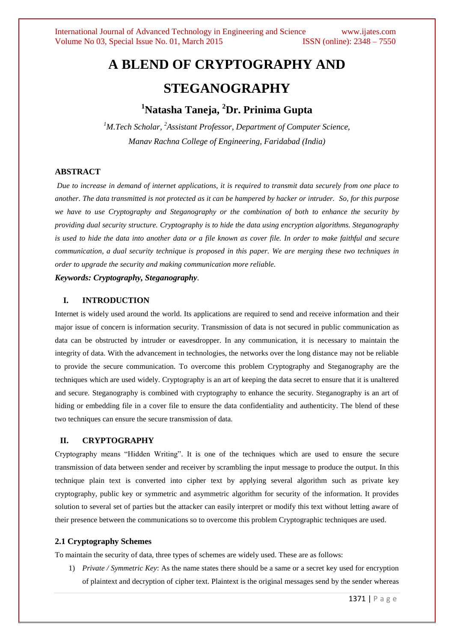# **A BLEND OF CRYPTOGRAPHY AND STEGANOGRAPHY**

## **<sup>1</sup>Natasha Taneja, <sup>2</sup>Dr. Prinima Gupta**

<sup>1</sup>M.Tech Scholar, <sup>2</sup>Assistant Professor, Department of Computer Science, *Manav Rachna College of Engineering, Faridabad (India)*

## **ABSTRACT**

*Due to increase in demand of internet applications, it is required to transmit data securely from one place to another. The data transmitted is not protected as it can be hampered by hacker or intruder. So, for this purpose we have to use Cryptography and Steganography or the combination of both to enhance the security by providing dual security structure. Cryptography is to hide the data using encryption algorithms. Steganography is used to hide the data into another data or a file known as cover file. In order to make faithful and secure communication, a dual security technique is proposed in this paper. We are merging these two techniques in order to upgrade the security and making communication more reliable.* 

*Keywords: Cryptography, Steganography.*

## **I. INTRODUCTION**

Internet is widely used around the world. Its applications are required to send and receive information and their major issue of concern is information security. Transmission of data is not secured in public communication as data can be obstructed by intruder or eavesdropper. In any communication, it is necessary to maintain the integrity of data. With the advancement in technologies, the networks over the long distance may not be reliable to provide the secure communication. To overcome this problem Cryptography and Steganography are the techniques which are used widely. Cryptography is an art of keeping the data secret to ensure that it is unaltered and secure. Steganography is combined with cryptography to enhance the security. Steganography is an art of hiding or embedding file in a cover file to ensure the data confidentiality and authenticity. The blend of these two techniques can ensure the secure transmission of data.

## **II. CRYPTOGRAPHY**

Cryptography means "Hidden Writing". It is one of the techniques which are used to ensure the secure transmission of data between sender and receiver by scrambling the input message to produce the output. In this technique plain text is converted into cipher text by applying several algorithm such as private key cryptography, public key or symmetric and asymmetric algorithm for security of the information. It provides solution to several set of parties but the attacker can easily interpret or modify this text without letting aware of their presence between the communications so to overcome this problem Cryptographic techniques are used.

#### **2.1 Cryptography Schemes**

To maintain the security of data, three types of schemes are widely used. These are as follows:

1) *Private / Symmetric Key*: As the name states there should be a same or a secret key used for encryption of plaintext and decryption of cipher text. Plaintext is the original messages send by the sender whereas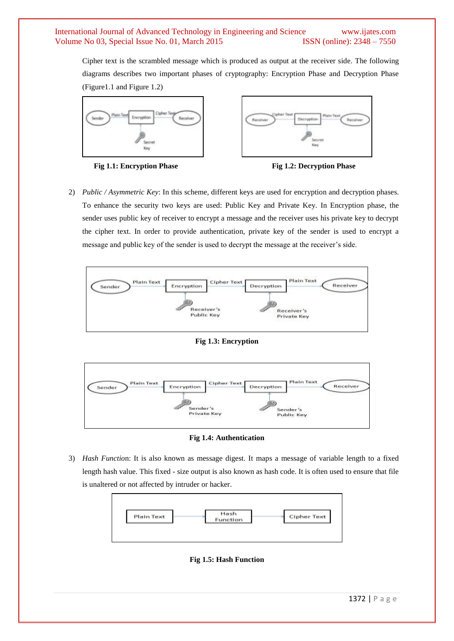Cipher text is the scrambled message which is produced as output at the receiver side. The following diagrams describes two important phases of cryptography: Encryption Phase and Decryption Phase (Figure1.1 and Figure 1.2)







2) *Public / Asymmetric Key*: In this scheme, different keys are used for encryption and decryption phases. To enhance the security two keys are used: Public Key and Private Key. In Encryption phase, the sender uses public key of receiver to encrypt a message and the receiver uses his private key to decrypt the cipher text. In order to provide authentication, private key of the sender is used to encrypt a message and public key of the sender is used to decrypt the message at the receiver's side.



**Fig 1.3: Encryption**



**Fig 1.4: Authentication**

3) *Hash Functio*n: It is also known as message digest. It maps a message of variable length to a fixed length hash value. This fixed - size output is also known as hash code. It is often used to ensure that file is unaltered or not affected by intruder or hacker.



**Fig 1.5: Hash Function**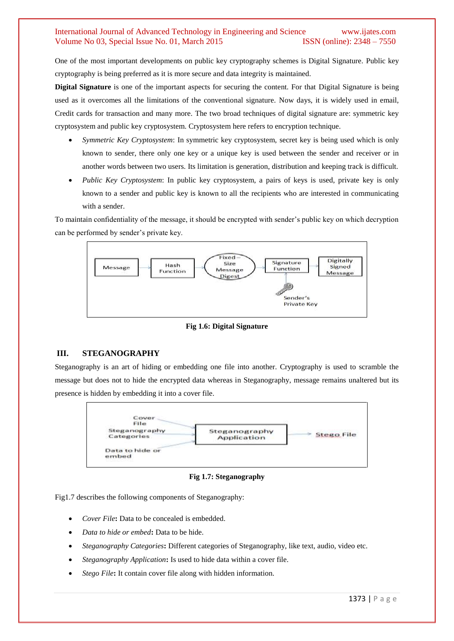One of the most important developments on public key cryptography schemes is Digital Signature. Public key cryptography is being preferred as it is more secure and data integrity is maintained.

**Digital Signature** is one of the important aspects for securing the content. For that Digital Signature is being used as it overcomes all the limitations of the conventional signature. Now days, it is widely used in email, Credit cards for transaction and many more. The two broad techniques of digital signature are: symmetric key cryptosystem and public key cryptosystem. Cryptosystem here refers to encryption technique.

- *Symmetric Key Cryptosystem*: In symmetric key cryptosystem, secret key is being used which is only known to sender, there only one key or a unique key is used between the sender and receiver or in another words between two users. Its limitation is generation, distribution and keeping track is difficult.
- *Public Key Cryptosystem*: In public key cryptosystem, a pairs of keys is used, private key is only known to a sender and public key is known to all the recipients who are interested in communicating with a sender.

To maintain confidentiality of the message, it should be encrypted with sender's public key on which decryption can be performed by sender's private key.



**Fig 1.6: Digital Signature**

## **III. STEGANOGRAPHY**

Steganography is an art of hiding or embedding one file into another. Cryptography is used to scramble the message but does not to hide the encrypted data whereas in Steganography, message remains unaltered but its presence is hidden by embedding it into a cover file.



**Fig 1.7: Steganography**

Fig1.7 describes the following components of Steganography:

- *Cover File***:** Data to be concealed is embedded.
- *Data to hide or embed***:** Data to be hide.
- *Steganography Categories***:** Different categories of Steganography, like text, audio, video etc.
- *Steganography Application***:** Is used to hide data within a cover file.
- *Stego File***:** It contain cover file along with hidden information.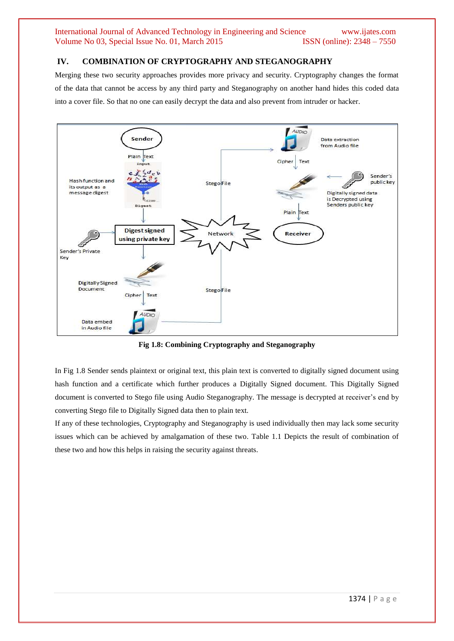## **IV. COMBINATION OF CRYPTOGRAPHY AND STEGANOGRAPHY**

Merging these two security approaches provides more privacy and security. Cryptography changes the format of the data that cannot be access by any third party and Steganography on another hand hides this coded data into a cover file. So that no one can easily decrypt the data and also prevent from intruder or hacker.



**Fig 1.8: Combining Cryptography and Steganography**

In Fig 1.8 Sender sends plaintext or original text, this plain text is converted to digitally signed document using hash function and a certificate which further produces a Digitally Signed document. This Digitally Signed document is converted to Stego file using Audio Steganography. The message is decrypted at receiver's end by converting Stego file to Digitally Signed data then to plain text.

If any of these technologies, Cryptography and Steganography is used individually then may lack some security issues which can be achieved by amalgamation of these two. Table 1.1 Depicts the result of combination of these two and how this helps in raising the security against threats.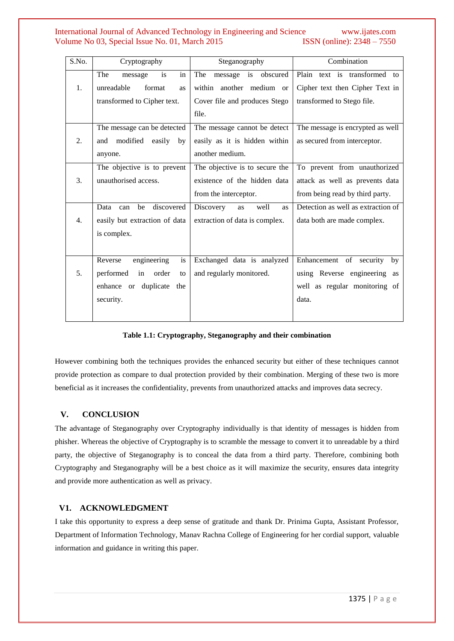## International Journal of Advanced Technology in Engineering and Science www.ijates.com Volume No 03, Special Issue No. 01, March 2015 ISSN (online): 2348 – 7550 Volume No 03, Special Issue No. 01, March 2015

| S.No.            | Cryptography                    | Steganography                        | Combination                        |
|------------------|---------------------------------|--------------------------------------|------------------------------------|
|                  | The<br>is<br>in<br>message      | The<br>message is obscured           | Plain text is transformed to       |
| 1.               | unreadable<br>format<br>as      | within another medium or             | Cipher text then Cipher Text in    |
|                  | transformed to Cipher text.     | Cover file and produces Stego        | transformed to Stego file.         |
|                  |                                 | file.                                |                                    |
|                  | The message can be detected     | The message cannot be detect         | The message is encrypted as well   |
| 2.               | modified<br>easily<br>by<br>and | easily as it is hidden within        | as secured from interceptor.       |
|                  | anyone.                         | another medium.                      |                                    |
|                  | The objective is to prevent     | The objective is to secure the       | To prevent from unauthorized       |
| 3.               | unauthorised access.            | existence of the hidden data         | attack as well as prevents data    |
|                  |                                 | from the interceptor.                | from being read by third party.    |
|                  | discovered<br>be<br>Data can    | Discovery<br>well<br>as<br><b>as</b> | Detection as well as extraction of |
| $\overline{4}$ . | easily but extraction of data   | extraction of data is complex.       | data both are made complex.        |
|                  | is complex.                     |                                      |                                    |
|                  |                                 |                                      |                                    |
|                  | is<br>engineering<br>Reverse    | Exchanged data is analyzed           | Enhancement of security by         |
| 5.               | performed in<br>order<br>to     | and regularly monitored.             | using Reverse engineering as       |
|                  | enhance or duplicate<br>the     |                                      | well as regular monitoring of      |
|                  | security.                       |                                      | data.                              |
|                  |                                 |                                      |                                    |

#### **Table 1.1: Cryptography, Steganography and their combination**

However combining both the techniques provides the enhanced security but either of these techniques cannot provide protection as compare to dual protection provided by their combination. Merging of these two is more beneficial as it increases the confidentiality, prevents from unauthorized attacks and improves data secrecy.

## **V. CONCLUSION**

The advantage of Steganography over Cryptography individually is that identity of messages is hidden from phisher. Whereas the objective of Cryptography is to scramble the message to convert it to unreadable by a third party, the objective of Steganography is to conceal the data from a third party. Therefore, combining both Cryptography and Steganography will be a best choice as it will maximize the security, ensures data integrity and provide more authentication as well as privacy.

## **V1. ACKNOWLEDGMENT**

I take this opportunity to express a deep sense of gratitude and thank Dr. Prinima Gupta, Assistant Professor, Department of Information Technology, Manav Rachna College of Engineering for her cordial support, valuable information and guidance in writing this paper.